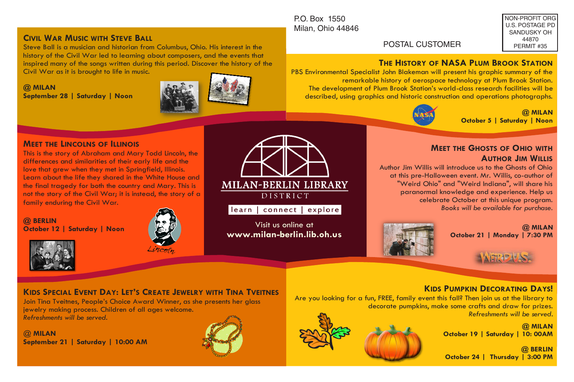#### P.O. Box 1550 Milan, Ohio 44846

Visit us online at **www.milan-berlin.lib.oh.us** 

**MILAN-BERLIN LIBRARY** DISTRICT learn | connect | explore|

NON-PROFIT ORG U.S. POSTAGE PD SANDUSKY OH 44870 PERMIT #35

### POSTAL CUSTOMER

## **THE HISTORY OF NASA PLUM BROOK STATION**

PBS Environmental Specialist John Blakeman will present his graphic summary of the remarkable history of aerospace technology at Plum Brook Station. The development of Plum Brook Station's world-class research facilities will be described, using graphics and historic construction and operations photographs.



**@ MILAN October 5 | Saturday | Noon**

#### **MEET THE LINCOLNS OF ILLINOIS**

**September 28 | Saturday | Noon**

**CIVIL WAR MUSIC WITH STEVE BALL**

Civil War as it is brought to life in music.

This is the story of Abraham and Mary Todd Lincoln, the differences and similarities of their early life and the love that grew when they met in Springfield, Illinois. Learn about the life they shared in the White House and the final tragedy for both the country and Mary. This is not the story of the Civil War; it is instead, the story of a family enduring the Civil War.

**@ BERLIN October 12 | Saturday | Noon**





**@ MILAN** 

# **KIDS SPECIAL EVENT DAY: LET'S CREATE JEWELRY WITH TINA TVEITNES**

Join Tina Tveitnes, People's Choice Award Winner, as she presents her glass jewelry making process. Children of all ages welcome. *Refreshments will be served.*

Steve Ball is a musician and historian from Columbus, Ohio. His interest in the history of the Civil War led to learning about composers, and the events that inspired many of the songs written during this period. Discover the history of the

@ **MILAN September 21 | Saturday | 10:00 AM**





Author Jim Willis will introduce us to the Ghosts of Ohio at this pre-Halloween event. Mr. Willis, co-author of "Weird Ohio" and "Weird Indiana", will share his paranormal knowledge and experience. Help us celebrate October at this unique program. *Books will be available for purchase*.

**@ MILAN October 21 | Monday | 7:30 PM** 

#### **KIDS PUMPKIN DECORATING DAYS!**

Are you looking for a fun, FREE, family event this fall? Then join us at the library to decorate pumpkins, make some crafts and draw for prizes. *Refreshments will be served*.

> **@ MILAN October 19 | Saturday | 10: 00AM**

**@ BERLIN October 24 | Thursday | 3:00 PM**